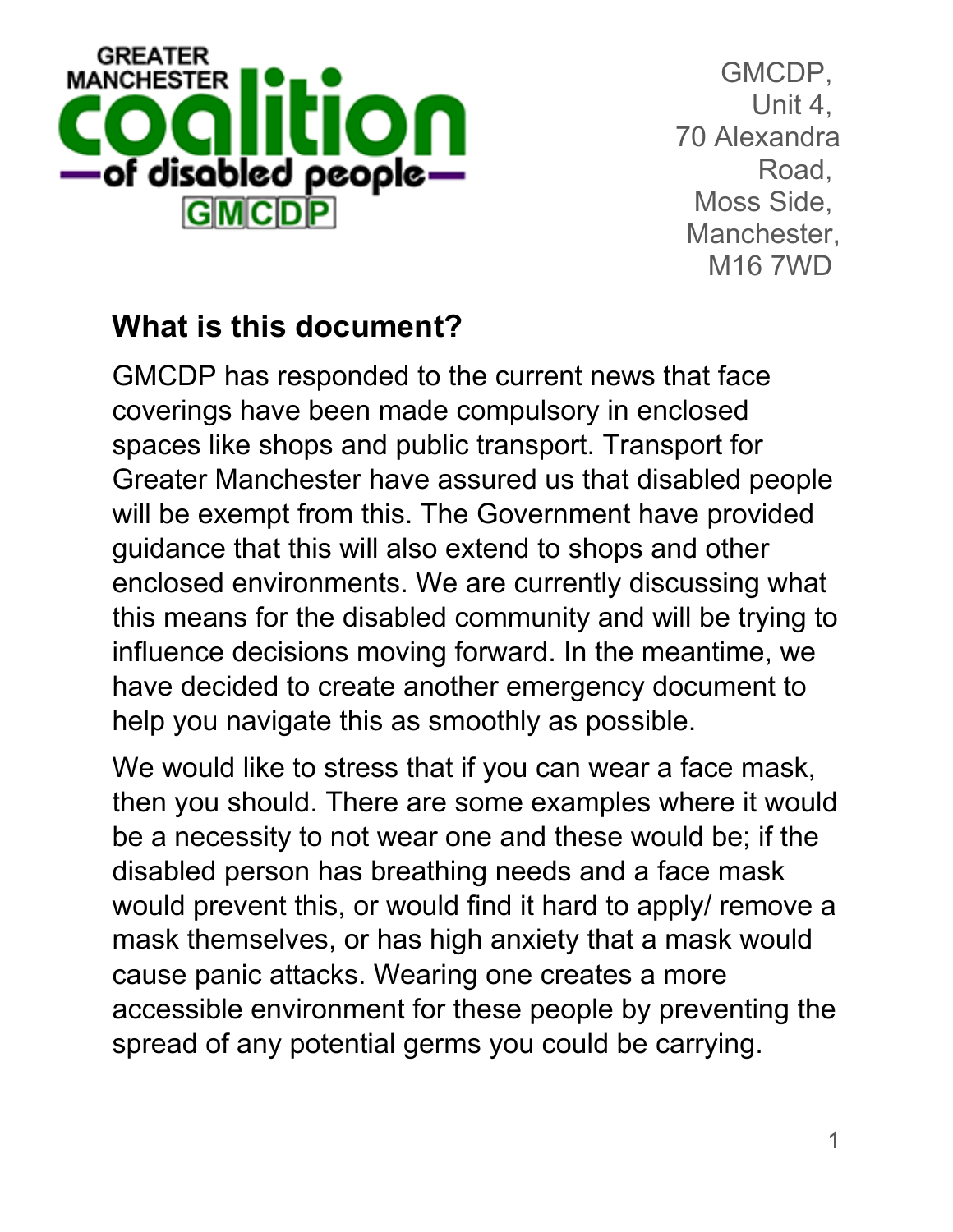

## **What is this document?**

GMCDP has responded to the current news that face coverings have been made compulsory in enclosed spaces like shops and public transport. Transport for Greater Manchester have assured us that disabled people will be exempt from this. The Government have provided guidance that this will also extend to shops and other enclosed environments. We are currently discussing what this means for the disabled community and will be trying to influence decisions moving forward. In the meantime, we have decided to create another emergency document to help you navigate this as smoothly as possible.

We would like to stress that if you can wear a face mask, then you should. There are some examples where it would be a necessity to not wear one and these would be; if the disabled person has breathing needs and a face mask would prevent this, or would find it hard to apply/ remove a mask themselves, or has high anxiety that a mask would cause panic attacks. Wearing one creates a more accessible environment for these people by preventing the spread of any potential germs you could be carrying.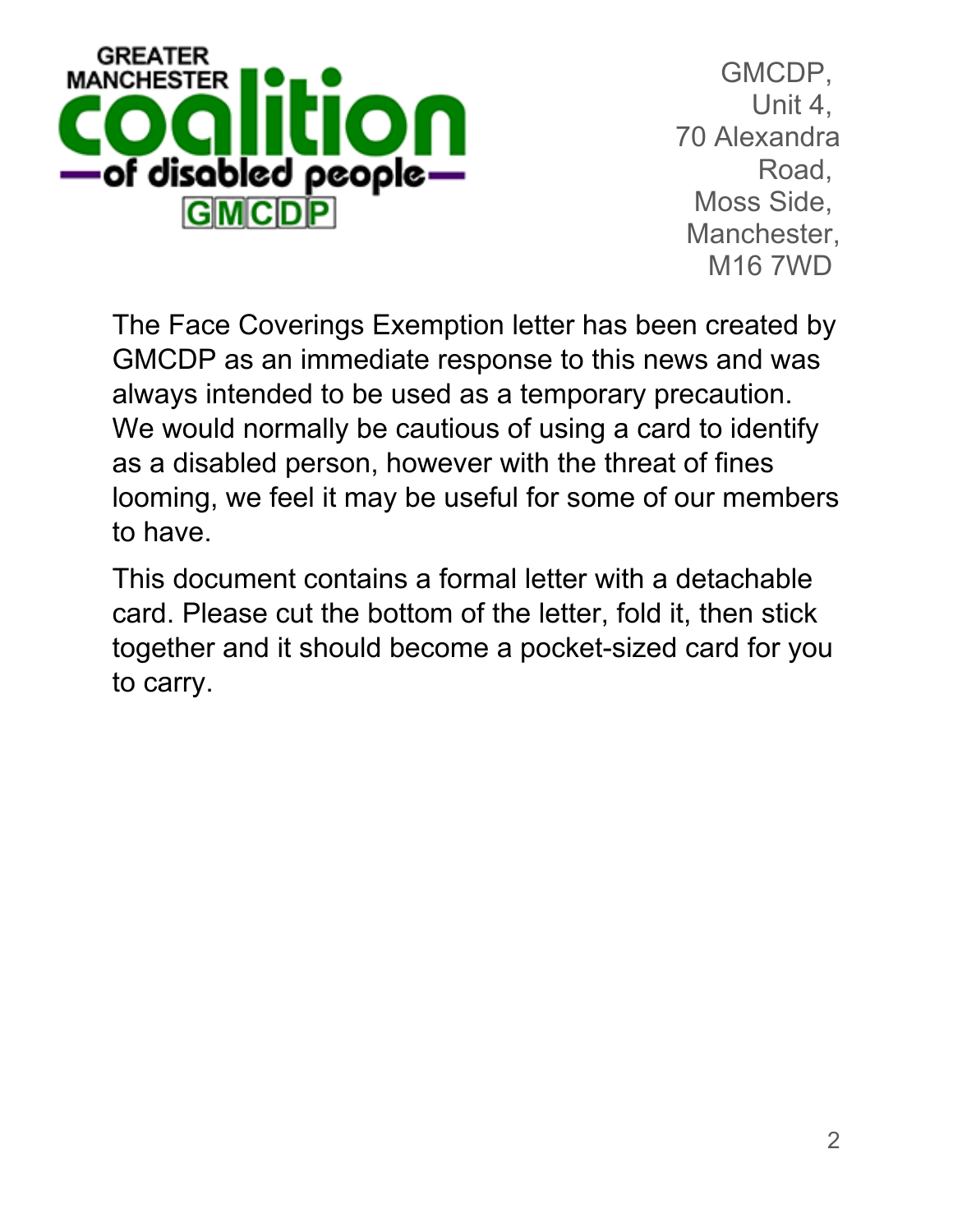

The Face Coverings Exemption letter has been created by GMCDP as an immediate response to this news and was always intended to be used as a temporary precaution. We would normally be cautious of using a card to identify as a disabled person, however with the threat of fines looming, we feel it may be useful for some of our members to have.

This document contains a formal letter with a detachable card. Please cut the bottom of the letter, fold it, then stick together and it should become a pocket-sized card for you to carry.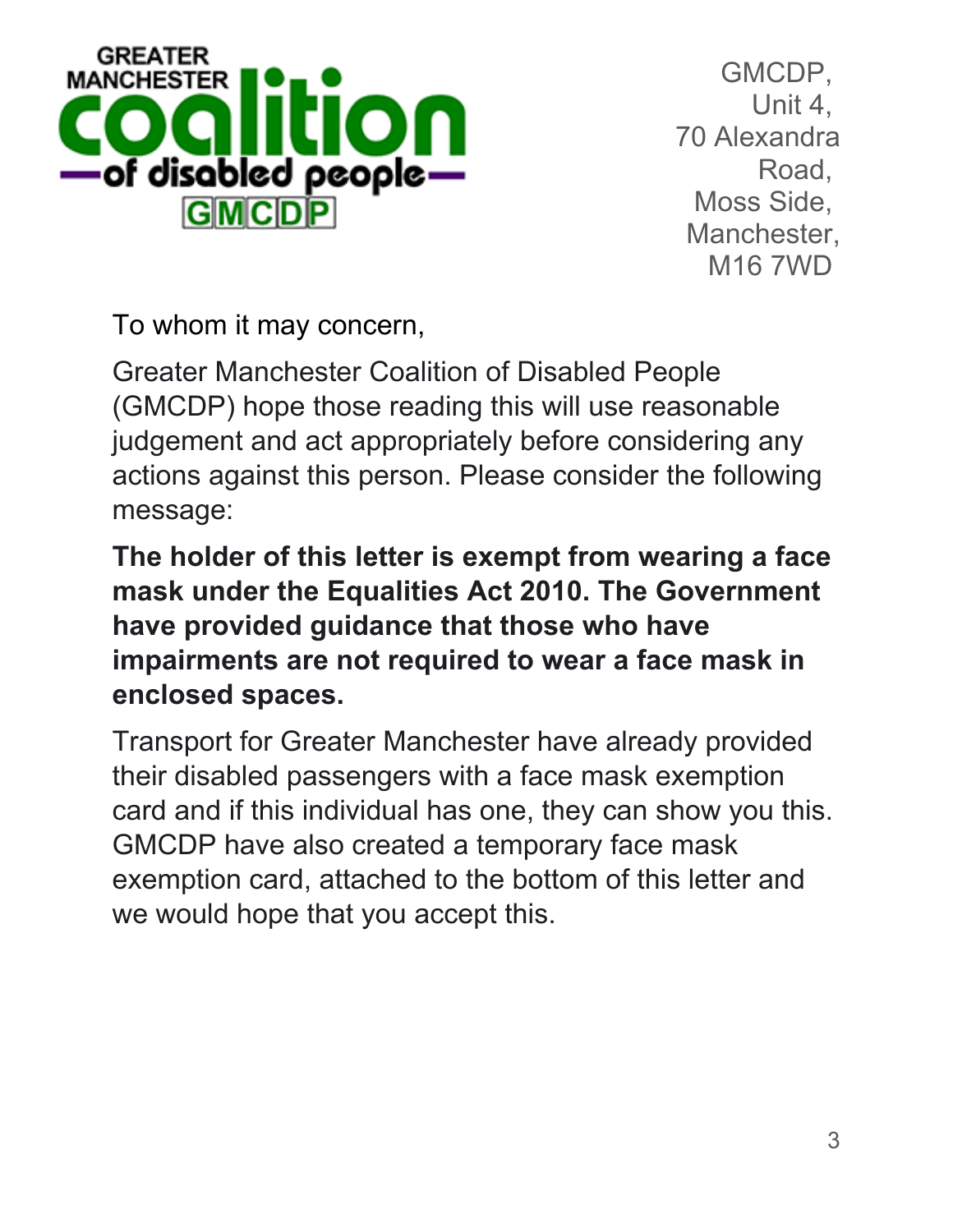

To whom it may concern,

Greater Manchester Coalition of Disabled People (GMCDP) hope those reading this will use reasonable judgement and act appropriately before considering any actions against this person. Please consider the following message:

**The holder of this letter is exempt from wearing a face mask under the Equalities Act 2010. The Government have provided guidance that those who have impairments are not required to wear a face mask in enclosed spaces.** 

Transport for Greater Manchester have already provided their disabled passengers with a face mask exemption card and if this individual has one, they can show you this. GMCDP have also created a temporary face mask exemption card, attached to the bottom of this letter and we would hope that you accept this.